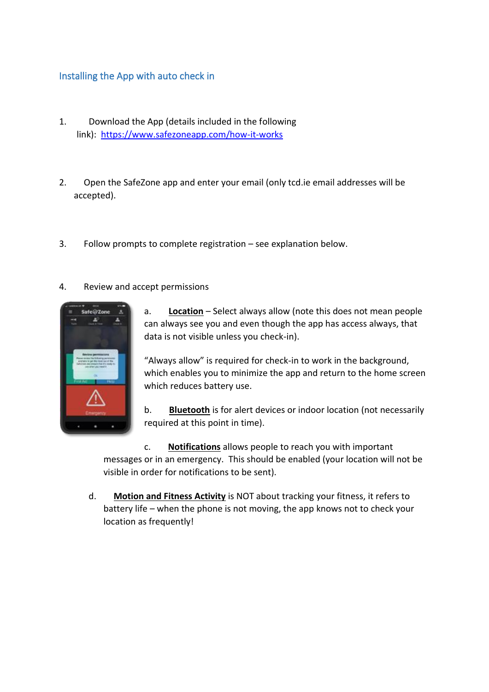## Installing the App with auto check in

- 1. Download the App (details included in the following link): <https://www.safezoneapp.com/how-it-works>
- 2. Open the SafeZone app and enter your email (only tcd.ie email addresses will be accepted).
- 3. Follow prompts to complete registration see explanation below.
- 4. Review and accept permissions



a. **Location** – Select always allow (note this does not mean people can always see you and even though the app has access always, that data is not visible unless you check-in).

"Always allow" is required for check-in to work in the background, which enables you to minimize the app and return to the home screen which reduces battery use.

b. **Bluetooth** is for alert devices or indoor location (not necessarily required at this point in time).

c. **Notifications** allows people to reach you with important messages or in an emergency. This should be enabled (your location will not be visible in order for notifications to be sent).

d. **Motion and Fitness Activity** is NOT about tracking your fitness, it refers to battery life – when the phone is not moving, the app knows not to check your location as frequently!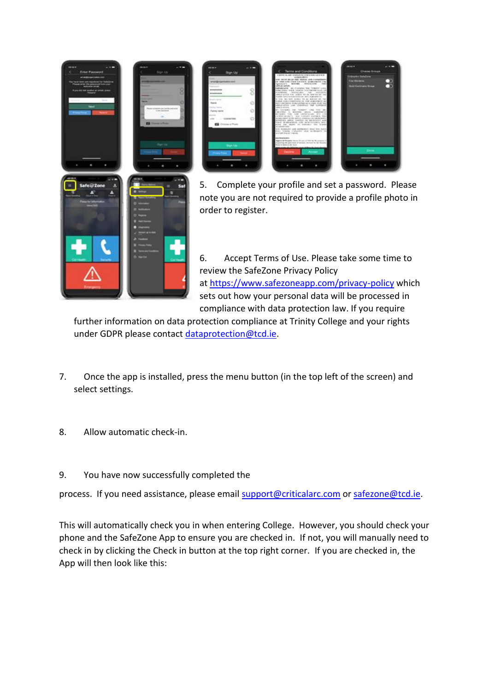



5. Complete your profile and set a password. Please note you are not required to provide a profile photo in order to register.

6. Accept Terms of Use. Please take some time to review the SafeZone Privacy Policy at <https://www.safezoneapp.com/privacy-policy> which sets out how your personal data will be processed in compliance with data protection law. If you require

further information on data protection compliance at Trinity College and your rights under GDPR please contact [dataprotection@tcd.ie.](mailto:dataprotection@tcd.ie)

- 7. Once the app is installed, press the menu button (in the top left of the screen) and select settings.
- 8. Allow automatic check-in.
- 9. You have now successfully completed the

process. If you need assistance, please email [support@criticalarc.com](mailto:support@criticalarc.com) or [safezone@tcd.ie.](mailto:safezone@tcd.ie)

This will automatically check you in when entering College. However, you should check your phone and the SafeZone App to ensure you are checked in. If not, you will manually need to check in by clicking the Check in button at the top right corner. If you are checked in, the App will then look like this: